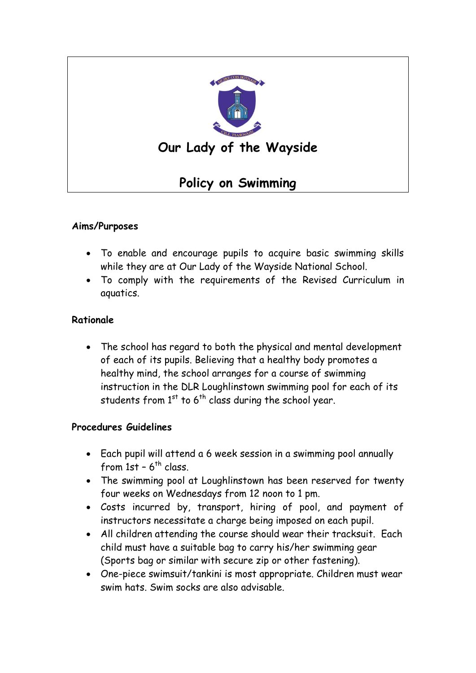

## **Aims/Purposes**

- To enable and encourage pupils to acquire basic swimming skills while they are at Our Lady of the Wayside National School.
- To comply with the requirements of the Revised Curriculum in aquatics.

## **Rationale**

 The school has regard to both the physical and mental development of each of its pupils. Believing that a healthy body promotes a healthy mind, the school arranges for a course of swimming instruction in the DLR Loughlinstown swimming pool for each of its students from  $1<sup>st</sup>$  to 6<sup>th</sup> class during the school year.

## **Procedures Guidelines**

- Each pupil will attend a 6 week session in a swimming pool annually from  $1$ st –  $6^{\text{th}}$  class.
- The swimming pool at Loughlinstown has been reserved for twenty four weeks on Wednesdays from 12 noon to 1 pm.
- Costs incurred by, transport, hiring of pool, and payment of instructors necessitate a charge being imposed on each pupil.
- All children attending the course should wear their tracksuit. Each child must have a suitable bag to carry his/her swimming gear (Sports bag or similar with secure zip or other fastening).
- One-piece swimsuit/tankini is most appropriate. Children must wear swim hats. Swim socks are also advisable.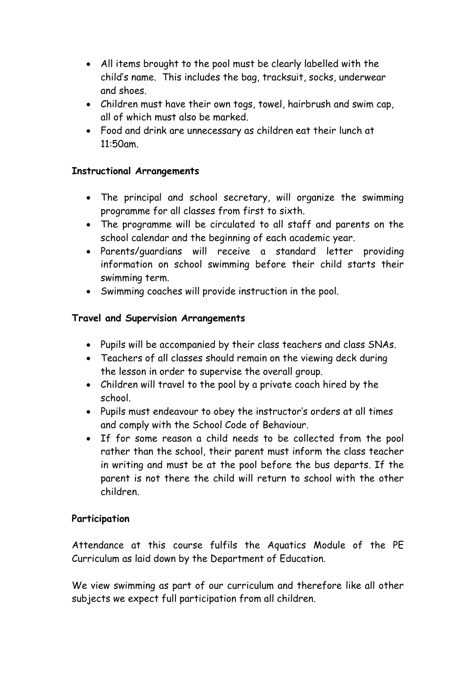- All items brought to the pool must be clearly labelled with the child's name. This includes the bag, tracksuit, socks, underwear and shoes.
- Children must have their own togs, towel, hairbrush and swim cap, all of which must also be marked.
- Food and drink are unnecessary as children eat their lunch at 11:50am.

## **Instructional Arrangements**

- The principal and school secretary, will organize the swimming programme for all classes from first to sixth.
- The programme will be circulated to all staff and parents on the school calendar and the beginning of each academic year.
- Parents/guardians will receive a standard letter providing information on school swimming before their child starts their swimming term.
- Swimming coaches will provide instruction in the pool.

## **Travel and Supervision Arrangements**

- Pupils will be accompanied by their class teachers and class SNAs.
- Teachers of all classes should remain on the viewing deck during the lesson in order to supervise the overall group.
- Children will travel to the pool by a private coach hired by the school.
- Pupils must endeavour to obey the instructor's orders at all times and comply with the School Code of Behaviour.
- If for some reason a child needs to be collected from the pool rather than the school, their parent must inform the class teacher in writing and must be at the pool before the bus departs. If the parent is not there the child will return to school with the other children.

## **Participation**

Attendance at this course fulfils the Aquatics Module of the PE Curriculum as laid down by the Department of Education.

We view swimming as part of our curriculum and therefore like all other subjects we expect full participation from all children.